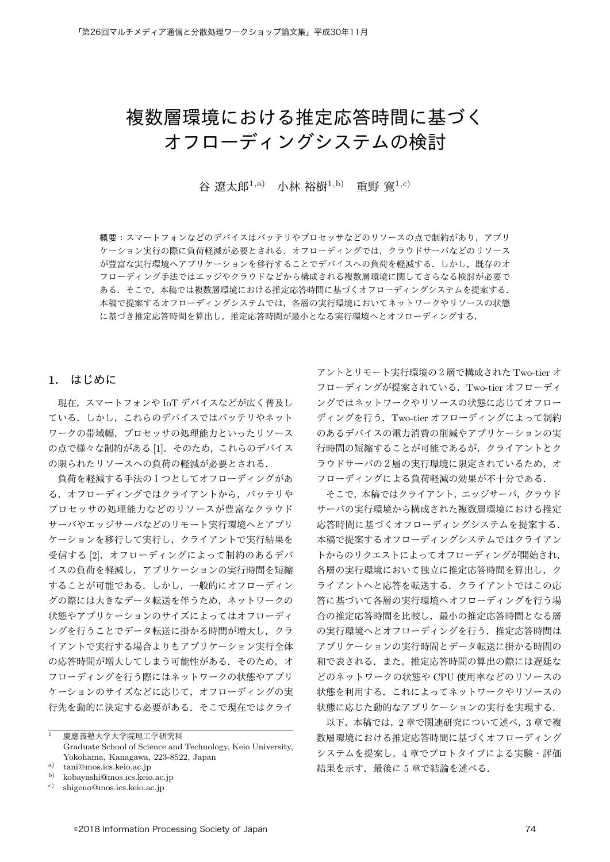# 複数層環境における推定応答時間に基づく オフローディングシステムの検討

 $\hat{B}$  潦太郎<sup>1,a)</sup> 小林 裕樹<sup>1,b</sup>) 重野 實<sup>1,c)</sup>

概要:スマートフォンなどのデバイスはバッテリやプロセッサなどのリソースの点で制約があり、アプリ ケーション実行の際に負荷軽減が必要とされる。オフローディングでは、クラウドサーバなどのリソース が豊富な実行環境へアプリケーションを移行することでデバイスへの負荷を軽減する. しかし、既存のオ フローディング手法ではエッジやクラウドなどから構成される複数層環境に関してさらなる検討が必要で ある。そこで、本稿では複数層環境における推定応答時間に基づくオフローディングシステムを提案する。 本稿で提案するオフローディングシステムでは、各層の実行環境においてネットワークやリソースの状態 に基づき推定応答時間と算出し、推定応答時間が最小となる実行環境へとオフローディングする.

## $1.$   $\lfloor \frac{1}{2} \rfloor$   $\lfloor \frac{1}{2} \rfloor$   $\lfloor \frac{1}{2} \rfloor$

現在、スマートフォンや IoT デバイスなどが広く普及し ている. しかし、これらのデバイスではバッテリやネット ワークの帯域幅、プロセッサの処理能力といったリソース の点で様々な制約がある [1]. そのため、これらのデバイス の限られたリソースへの負荷の軽減が必要とされる.

負荷を軽減する手法の1つとしてオフローディングがあ る。オフローディングではクライアントから、バッテリや プロセッサの処理能力などのリソースが豊富なクラウド サーバやエッジサーバなどのリモート実行環境へとアプリ ケーションを移行して実行し、クライアントで実行結果を 受信する [2]. オフローディングによって制約のあるデバ イスの負荷を軽減し、アプリケーションの実行時間を短縮 することが可能である。しかし、一般的にオフローディン グの際には大きなデータ転送を伴うため、ネットワークの 状態やアプリケーションのサイズによってはオフローディ ングを行うことでデータ転送に掛かる時間が増大し、クラ イアントで実行する場合よりもアプリケーション実行全体 の応答時間が増大してしまう可能性がある。 そのため、オ フローディングを行う際にはネットワークの状態やアプリ ケーションのサイズなどに応じて、オフローディングの実 行先を動的に決定する必要がある。そこで現在ではクライ

–<br>1 慶應義塾大学大学院理工学研究科 Graduate School of Science and Technology, Keio University, Yokohama, Kanagawa, 223-8522, Japan

アントとリモート実行環境の2層で構成された Two-tier オ フローディングが提案されている. Two-tier オフローディ ングではネットワークやリソースの状態に応じてオフロー ディングを行う. Two-tier オフローディングによって制約 のあるデバイスの電力消費の削減やアプリケーションの実 行時間の短縮することが可能であるが、クライアントとク ラウドサーバの2層の実行環境に限定されているため、オ フローディングによる負荷軽減の効果が不十分である.

そこで、本稿ではクライアント、エッジサーバ、クラウド サーバの実行環境から構成された複数層環境における推定 応答時間に基づくオフローディングシステムを提案する. 本稿で提案するオフローディングシステムではクライアン トからのリクエストによってオフローディングが開始され, 各層の実行環境において独立に推定応答時間を算出し、ク ライアントへと応答を転送する。クライアントではこの応 答に基づいて各層の実行環境へオフローディングを行う場 合の推定応答時間を比較し、最小の推定応答時間となる層 の実行環境へとオフローディングを行う。推定応答時間は アプリケーションの実行時間とデータ転送に掛かる時間の 和で表される。また、推定応答時間の算出の際には遅延な どのネットワークの状態や CPU 使用率などのリソースの 状態を利用する。これによってネットワークやリソースの 状態に応じた動的なアプリケーションの実行を実現する.

以下、本稿では、2章で関連研究について述べ、3章で複 数層環境における推定応答時間に基づくオフローディング システムを提案し、4 章でプロトタイプによる実験・評価 結果を示す. 最後に5章で結論を述べる.

<sup>&</sup>lt;sup>a)</sup> tani@mos.ics.keio.ac.jp<br>b) kohayashi@mos.ics.keio.

b) kobayashi@mos.ics.keio.ac.jp<br>c) shigano@mos.ics.keio.ac.in

shigeno@mos.ics.keio.ac.jp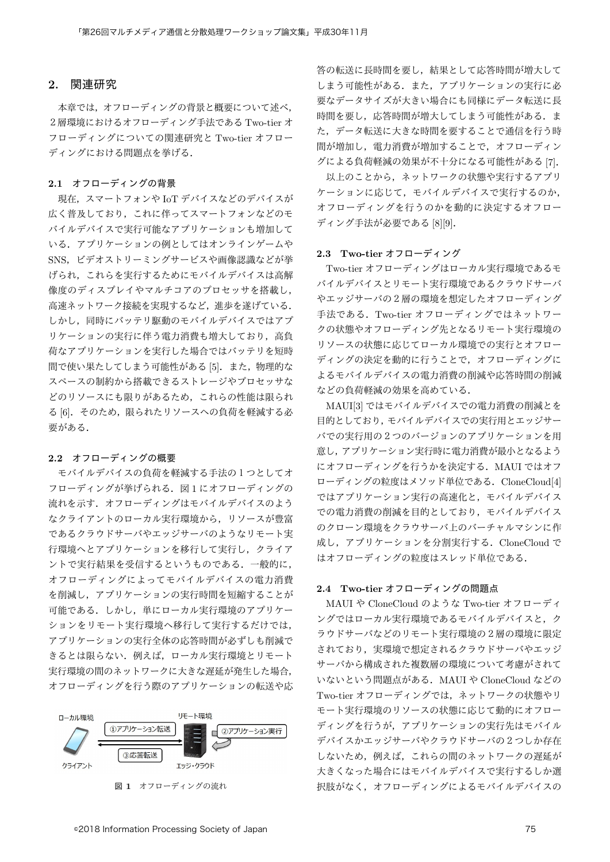## 2. 関連研究

本章では、オフローディングの背景と概要について述べ、 2 層環境におけるオフローディング手法である Two-tier オ フローディングについての関連研究と Two-tier オフロー ディングにおける問題点を挙げる.

### 2.1 オフローディングの背景

現在, スマートフォンや IoT デバイスなどのデバイスが 広く普及しており、これに伴ってスマートフォンなどのモ バイルデバイスで実行可能なアプリケーションも増加して いる。アプリケーションの例としてはオンラインゲームや SNS, ビデオストリーミングサービスや画像認識などが挙 げられ、これらを実行するためにモバイルデバイスは高解 像度のディスプレイやマルチコアのプロセッサを搭載し、 高速ネットワーク接続を実現するなど、進歩を遂げている. しかし、同時にバッテリ駆動のモバイルデバイスではアプ リケーションの実行に伴う電力消費も増大しており、高負 荷なアプリケーションを実行した場合ではバッテリを短時 間で使い果たしてしまう可能性がある [5]. また、物理的な スペースの制約から搭載できるストレージやプロセッサな どのリソースにも限りがあるため、これらの性能は限られ る [6]. そのため、限られたリソースへの負荷を軽減する必 要がある.

#### 2.2 オフローディングの概要

モバイルデバイスの負荷を軽減する手法の1つとしてオ フローディングが挙げられる。図1にオフローディングの 流れを示す。オフローディングはモバイルデバイスのよう なクライアントのローカル実行環境から、リソースが豊富 であるクラウドサーバやエッジサーバのようなリモート実 行環境へとアプリケーションを移行して実行し、クライア ントで実行結果を受信するというものである. 一般的に, オフローディングによってモバイルデバイスの電力消費 を削減し、アプリケーションの実行時間を短縮することが 可能である。しかし、単にローカル実行環境のアプリケー ションをリモート実行環境へ移行して実行するだけでは、 アプリケーションの実行全体の応答時間が必ずしも削減で きるとは限らない。例えば、ローカル実行環境とリモート 実行環境の間のネットワークに大きな遅延が発生した場合, オフローディングを行う際のアプリケーションの転送や応



図 1 オフローディングの流れ

答の転送に長時間を要し,結果として応答時間が増大して しまう可能性がある。また、アプリケーションの実行に必 要なデータサイズが大きい場合にも同様にデータ転送に長 時間を要し、応答時間が増大してしまう可能性がある。ま た。データ転送に大きな時間を要することで通信を行う時 間が増加し、電力消費が増加することで、オフローディン グによる負荷軽減の効果が不十分になる可能性がある [7].

以上のことから、ネットワークの状態や実行するアプリ ケーションに応じて、モバイルデバイスで実行するのか, オフローディングを行うのかを動的に決定するオフロー ディング手法が必要である [8][9].

#### 2.3 Two-tier  $\tau$ フローディング

Two-tier オフローディングはローカル実行環境であるモ バイルデバイスとリモート実行環境であるクラウドサーバ やエッジサーバの2層の環境を想定したオフローディング 手法である. Two-tier オフローディングではネットワー クの状態やオフローディング先となるリモート実行環境の リソースの状態に応じてローカル環境での実行とオフロー ディングの決定を動的に行うことで、オフローディングに よるモバイルデバイスの電力消費の削減や応答時間の削減 などの負荷軽減の効果を高めている.

MAUI[3] ではモバイルデバイスでの電力消費の削減とを 目的としており、モバイルデバイスでの実行用とエッジサー バでの実行用の2つのバージョンのアプリケーションを用 意し、アプリケーション実行時に電力消費が最小となるよう にオフローディングを行うかを決定する. MAUI ではオフ ローディングの粒度はメソッド単位である. CloneCloud[4] ではアプリケーション実行の高速化と、モバイルデバイス での電力消費の削減を目的としており、モバイルデバイス のクローン環境をクラウサーバ上のバーチャルマシンに作 成し、アプリケーションを分割実行する. CloneCloud で はオフローディングの粒度はスレッド単位である.

### 2.4 Two-tier オフローディングの問題点

MAUI や CloneCloud のような Two-tier オフローディ ングではローカル実行環境であるモバイルデバイスと、ク ラウドサーバなどのリモート実行環境の2層の環境に限定 されており、実環境で想定されるクラウドサーバやエッジ サーバから構成された複数層の環境について考慮がされて いないという問題点がある. MAUI や CloneCloud などの Two-tier オフローディングでは、ネットワークの状態やリ モート実行環境のリソースの状態に応じて動的にオフロー ディングを行うが、アプリケーションの実行先はモバイル デバイスかエッジサーバやクラウドサーバの2つしか存在 しないため、例えば、これらの間のネットワークの遅延が 大きくなった場合にはモバイルデバイスで実行するしか選 択肢がなく、オフローディングによるモバイルデバイスの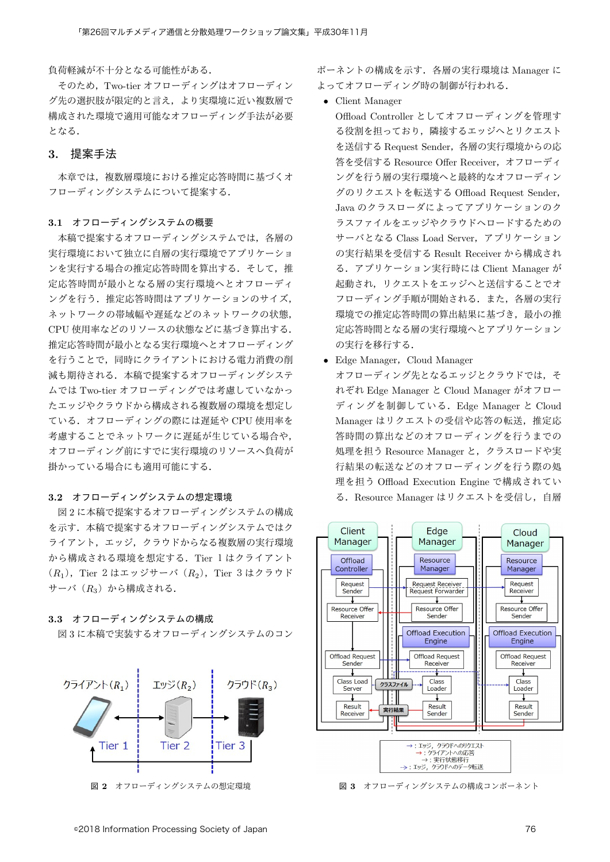負荷軽減が不十分となる可能性がある.

そのため. Two-tier オフローディングはオフローディン グ先の選択肢が限定的と言え、より実環境に近い複数層で 構成された環境で適用可能なオフローディング手法が必要 となる.

## 3. 提案手法

本章では、複数層環境における推定応答時間に基づくオ フローディングシステムについて提案する.

#### 3.1 オフローディングシステムの概要

本稿で提案するオフローディングシステムでは、各層の 実行環境において独立に自層の実行環境でアプリケーショ ンを実行する場合の推定応答時間を算出する。そして、推 定応答時間が最小となる層の実行環境へとオフローディ ングを行う. 推定応答時間はアプリケーションのサイズ. ネットワークの帯域幅や遅延などのネットワークの状態, CPU 使用率などのリソースの状態などに基づき算出する. 推定応答時間が最小となる実行環境へとオフローディング を行うことで、同時にクライアントにおける電力消費の削 減も期待される。本稿で提案するオフローディングシステ ムでは Two-tier オフローディングでは考慮していなかっ たエッジやクラウドから構成される複数層の環境を想定し ている. オフローディングの際には遅延や CPU 使用率を 考慮することでネットワークに遅延が生じている場合や, オフローディング前にすでに実行環境のリソースへ負荷が 掛かっている場合にも適用可能にする.

#### 3.2 オフローディングシステムの想定環境

図2に本稿で提案するオフローディングシステムの構成 を示す。本稿で提案するオフローディングシステムではク ライアント、エッジ、クラウドからなる複数層の実行環境 から構成される環境を想定する. Tier 1 はクライアント  $(R_1)$ , Tier  $2 \text{ kJ} \pm \text{ kJ} \rightarrow (R_2)$ , Tier  $3 \text{ kJ} \rightarrow \text{ kJ} \rightarrow \text{ kJ}$ サーバ (R3) から構成される.

## 3.3 オフローディングシステムの構成

図3に本稿で実装するオフローディングシステムのコン



図 2 オフローディングシステムの想定環境

ポーネントの構成を示す.各層の実行環境は Manager に よってオフローディング時の制御が行われる.

*•* Client Manager

Offload Controller としてオフローディングを管理す る役割を担っており、隣接するエッジへとリクエスト を送信する Request Sender, 各層の実行環境からの応 答を受信する Resource Offer Receiver, オフローディ ングを行う層の実行環境へと最終的なオフローディン グのリクエストを転送する Offload Request Sender, Java のクラスローダによってアプリケーションのク ラスファイルをエッジやクラウドヘロードするための サーバとなる Class Load Server, アプリケーション の実行結果を受信する Result Receiver から構成され る. アプリケーション実行時には Client Manager が 起動され、リクエストをエッジへと送信することでオ フローディング手順が開始される。また、各層の実行 環境での推定応答時間の算出結果に基づき、最小の推 定応答時間となる層の実行環境へとアプリケーション の実行を移行する.

• Edge Manager, Cloud Manager

オフローディング先となるエッジとクラウドでは、そ れぞれ Edge Manager と Cloud Manager がオフロー ディングを制御している. Edge Manager と Cloud Manager はリクエストの受信や応答の転送, 推定応 答時間の算出などのオフローディングを行うまでの 処理を担う Resource Manager と、クラスロードや実 行結果の転送などのオフローディングを行う際の処 理を担う Offload Execution Engine で構成されてい る. Resource Manager はリクエストを受信し、自層



図 3 オフローディングシステムの構成コンポーネント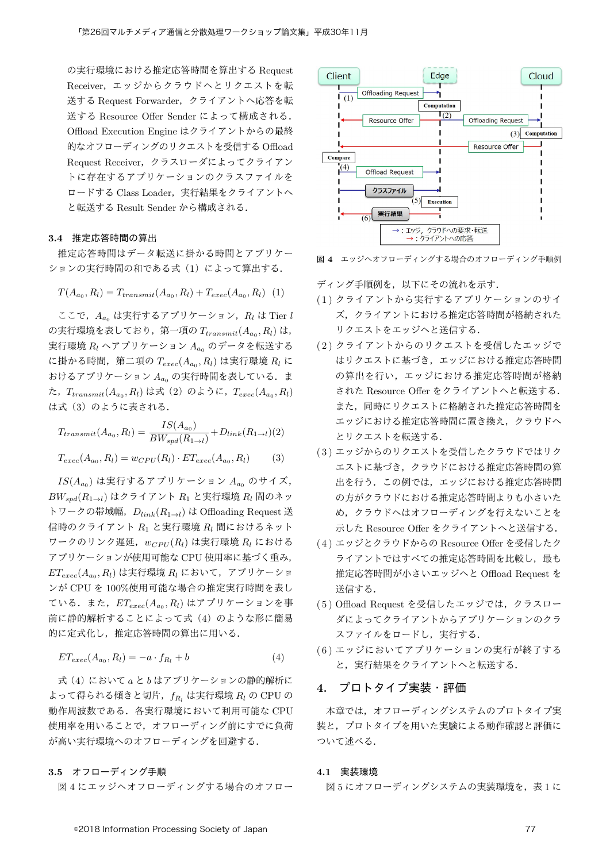の実行環境における推定応答時間を算出する Request Receiver, エッジからクラウドへとリクエストを転 送する Request Forwarder, クライアントへ応答を転 送する Resource Offer Sender によって構成される. Offload Execution Engine はクライアントからの最終 的なオフローディングのリクエストを受信する Offload Request Receiver, クラスローダによってクライアン トに存在するアプリケーションのクラスファイルを ロードする Class Loader, 実行結果をクライアントへ と転送する Result Sender から構成される.

#### 3.4 推定応答時間の算出

推定応答時間はデータ転送に掛かる時間とアプリケー  $\mathcal{Y}$ ョンの実行時間の和である式 (1) によって算出する.

$$
T(A_{a_0}, R_l) = T_{transmit}(A_{a_0}, R_l) + T_{exec}(A_{a_0}, R_l)
$$
 (1)

ここで,  $A_{a_0}$ は実行するアプリケーション,  $R_l$ は Tier  $l$ の実行環境を表しており, 第一項の  $T_{transmit}(A_{a_0}, R_l)$ は, 実行環境  $R_l$  ヘアプリケーション  $A_{a0}$  のデータを転送する  $\mathcal{L}$  掛かる時間, 第二項の  $T_{exec}(A_{a_0}, R_l)$  は実行環境  $R_l$  に おけるアプリケーション A<sub>ao</sub> の実行時間を表している. ま  $\dot{\mathcal{L}}$ ,  $T_{transmit}(A_{a_0}, R_l)$ は式 (2) のように,  $T_{exec}(A_{a_0}, R_l)$ は式 (3) のように表される.

$$
T_{transmit}(A_{a_0}, R_l) = \frac{IS(A_{a_0})}{BW_{spd}(R_{1\to l})} + D_{link}(R_{1\to l})(2)
$$
  

$$
T_{exec}(A_{a_0}, R_l) = w_{CPU}(R_l) \cdot ET_{exec}(A_{a_0}, R_l)
$$
 (3)

 $IS(A_{a_0})$ は実行するアプリケーション  $A_{a_0}$  のサイズ,  $BW_{spd}(R_{1\rightarrow l})$  はクライアント  $R_1$  と実行環境  $R_l$  間のネッ トワークの帯域幅,  $D_{link}(R_{1\rightarrow l})$  は Offloading Request 送 信時のクライアント  $R_1$  と実行環境  $R_l$  間におけるネット  $\nabla$ ークのリンク遅延,  $w_{CPU}(R_l)$ は実行環境  $R_l$  における アプリケーションが使用可能な CPU 使用率に基づく重み,  $ET_{exec}(A_{a_0}, R_l)$ は実行環境  $R_l$  において, アプリケーショ ンが CPU を 100%使用可能な場合の推定実行時間を表し ている. また,  $ET_{exec}(A_{a_0}, R_l)$ はアプリケーションを事 前に静的解析することによって式(4)のような形に簡易 的に定式化し、推定応答時間の算出に用いる.

$$
ET_{exec}(A_{a_0}, R_l) = -a \cdot f_{R_l} + b \tag{4}
$$

式 (4) においてa とbはアプリケーションの静的解析に よって得られる傾きと切片, f<sub>R</sub>, は実行環境 R<sub>l</sub> の CPU の 動作周波数である. 各実行環境において利用可能な CPU 使用率を用いることで、オフローディング前にすでに負荷 が高い実行環境へのオフローディングを回避する.

3.5 オフローディング手順

図4にエッジへオフローディングする場合のオフロー



図 4 エッジヘオフローディングする場合のオフローディング手順例

 $\vec{r}$  /  $\vec{r}$  /  $\vec{r}$  /  $\vec{r}$  /  $\vec{r}$  /  $\vec{r}$  /  $\vec{r}$  /  $\vec{r}$  /  $\vec{r}$  /  $\vec{r}$  /  $\vec{r}$  /  $\vec{r}$  /  $\vec{r}$  /  $\vec{r}$  /  $\vec{r}$  /  $\vec{r}$  /  $\vec{r}$  /  $\vec{r}$  /  $\vec{r}$  /  $\vec{r}$  /  $\vec{r}$  /  $\vec{r}$  /

- (1) クライアントから実行するアプリケーションのサイ ズ、クライアントにおける推定応答時間が格納された リクエストをエッジへと送信する.
- (2) クライアントからのリクエストを受信したエッジで はリクエストに基づき、エッジにおける推定応答時間 の算出を行い、エッジにおける推定応答時間が格納 された Resource Offer をクライアントへと転送する. また、同時にリクエストに格納された推定応答時間を エッジにおける推定応答時間に置き換え、クラウドへ とリクエストを転送する.
- (3) エッジからのリクエストを受信したクラウドではリク エストに基づき、クラウドにおける推定応答時間の算 出を行う。この例では、エッジにおける推定応答時間 の方がクラウドにおける推定応答時間よりも小さいた め、クラウドへはオフローディングを行えないことを 示した Resource Offer をクライアントへと送信する.
- (4) エッジとクラウドからの Resource Offer を受信したク ライアントではすべての推定応答時間を比較し、最も 推定応答時間が小さいエッジへと Offload Request を 送信する.
- (5) Offload Request を受信したエッジでは、クラスロー ダによってクライアントからアプリケーションのクラ スファイルをロードし、実行する.
- (6) エッジにおいてアプリケーションの実行が終了する と、実行結果をクライアントへと転送する.

## 4. プロトタイプ実装・評価

本章では、オフローディングシステムのプロトタイプ実 装と、プロトタイプを用いた実験による動作確認と評価に ついて述べる.

#### 4.1 実装環境

図5にオフローディングシステムの実装環境を、表1に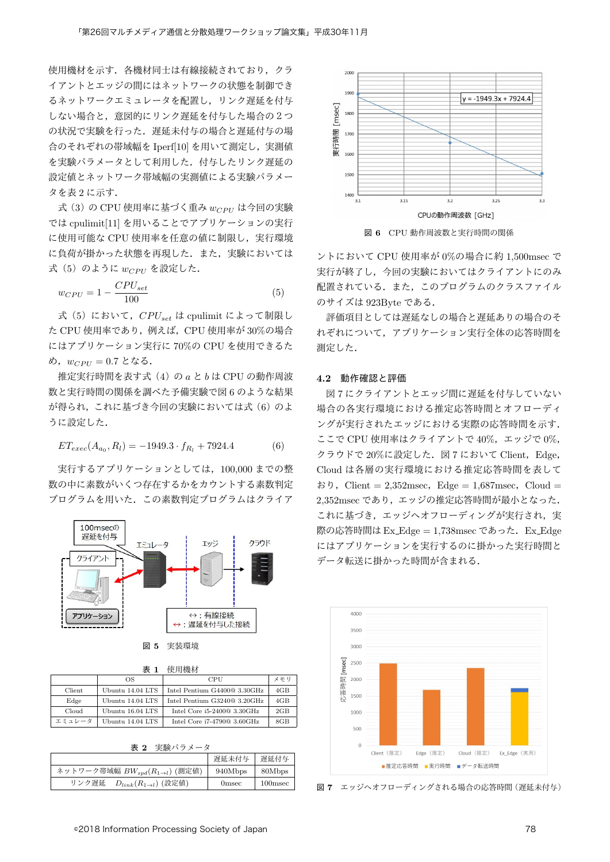使用機材を示す.各機材同士は有線接続されており,クラ イアントとエッジの間にはネットワークの状態を制御でき るネットワークエミュレータを配置し、リンク遅延を付与 しない場合と、意図的にリンク遅延を付与した場合の2つ の状況で実験を行った。遅延未付与の場合と遅延付与の場 合のそれぞれの帯域幅を Iperf[10] を用いて測定し、実測値 を実験パラメータとして利用した。付与したリンク遅延の 設定値とネットワーク帯域幅の実測値による実験パラメー  $2$  を表  $2$  に示す.

式(3)の CPU 使用率に基づく重み w<sub>CPU</sub> は今回の実験 では cpulimit[11] を用いることでアプリケーションの実行 に使用可能な CPU 使用率を任意の値に制限し、実行環境 に負荷が掛かった状態を再現した. また、実験においては 式 (5) のように  $w_{CPU}$ を設定した.

$$
w_{CPU} = 1 - \frac{CPU_{set}}{100} \tag{5}
$$

式 (5) において, CPU<sub>set</sub> は cpulimit によって制限し た CPU 使用率であり, 例えば, CPU 使用率が 30%の場合 にはアプリケーション実行に 70%の CPU を使用できるた  $\phi$ ,  $w_{CPII} = 0.7$  となる.

推定実行時間を表す式 (4) の a と b は CPU の動作周波 数と実行時間の関係を調べた予備実験で図6のような結果  $N$ 得られ、これに基づき今回の実験においては式 $(6)$ のよ うに設定した.

$$
ET_{exec}(A_{a_0}, R_l) = -1949.3 \cdot f_{R_l} + 7924.4 \tag{6}
$$

実行するアプリケーションとしては、100,000 までの整 数の中に素数がいくつ存在するかをカウントする素数判定 プログラムを用いた。この素数判定プログラムはクライア



| 図 5 | 実装環境 |
|-----|------|
|     |      |
|     |      |
|     |      |
|     |      |
|     |      |
|     |      |
|     |      |
|     |      |

| 耒 | 使用機材 |
|---|------|

|        | OS               | CPU                          | メモリ             |
|--------|------------------|------------------------------|-----------------|
| Client | Ubuntu 14.04 LTS | Intel Pentium G4400@ 3.30GHz | 4 <sub>GB</sub> |
| Edge   | Ubuntu 14.04 LTS | Intel Pentium G3240@ 3.20GHz | 4 <sub>GB</sub> |
| Cloud  | Ubuntu 16.04 LTS | Intel Core $i5-2400@3.30GHz$ | 2GB             |
| エミュレータ | Ubuntu 14.04 LTS | Intel Core $i7-4790@3.60GHz$ | 8GB             |

表 2 実験パラメータ

|                                                | 遅延未付与   | 遅延付与       |
|------------------------------------------------|---------|------------|
| ネットワーク帯域幅 $BW_{spd}(R_{1\rightarrow l})$ (測定値) | 940Mbps | 80Mbps     |
| $D_{link}(R_{1 \to l})$ (設定値)<br>リンク遅延         | Omsec   | $100$ msec |



図 6 CPU 動作周波数と実行時間の関係

ントにおいて CPU 使用率が 0%の場合に約 1.500msec で 実行が終了し,今回の実験においてはクライアントにのみ 配置されている。また、このプログラムのクラスファイル のサイズは 923Bvte である.

評価項目としては遅延なしの場合と遅延ありの場合のそ れぞれについて、アプリケーション実行全体の応答時間を 測定した.

#### 4.2 動作確認と評価

図7にクライアントとエッジ間に遅延を付与していない 場合の各実行環境における推定応答時間とオフローディ ングが実行されたエッジにおける実際の応答時間を示す. ここで CPU 使用率はクライアントで40%,エッジで0%, クラウドで20%に設定した. 図7において Client. Edge. Cloud は各層の実行環境における推定応答時間を表して  $\sharp$  b), Client = 2,352msec, Edge = 1,687msec, Cloud =  $2.352$ msec であり、エッジの推定応答時間が最小となった。 これに基づき、エッジへオフローディングが実行され、実 際の応答時間は Ex\_Edge = 1,738msec であった. Ex\_Edge にはアプリケーションを実行するのに掛かった実行時間と データ転送に掛かった時間が含まれる.



図 7 エッジヘオフローディングされる場合の応答時間 (遅延未付与)